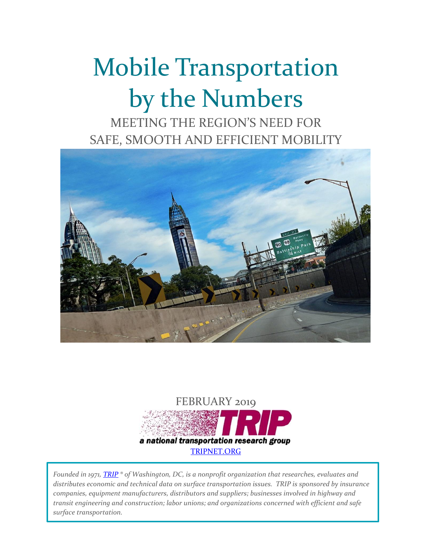# Mobile Transportation by the Numbers

MEETING THE REGION'S NEED FOR SAFE, SMOOTH AND EFFICIENT MOBILITY





*Founded in 1971, [TRIP](http://www.tripnet.org/) ® of Washington, DC, is a nonprofit organization that researches, evaluates and distributes economic and technical data on surface transportation issues. TRIP is sponsored by insurance companies, equipment manufacturers, distributors and suppliers; businesses involved in highway and transit engineering and construction; labor unions; and organizations concerned with efficient and safe surface transportation.*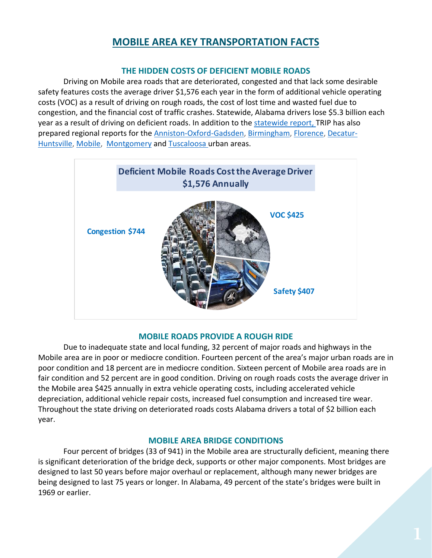## **MOBILE AREA KEY TRANSPORTATION FACTS**

#### **THE HIDDEN COSTS OF DEFICIENT MOBILE ROADS**

Driving on Mobile area roads that are deteriorated, congested and that lack some desirable safety features costs the average driver \$1,576 each year in the form of additional vehicle operating costs (VOC) as a result of driving on rough roads, the cost of lost time and wasted fuel due to congestion, and the financial cost of traffic crashes. Statewide, Alabama drivers lose \$5.3 billion each year as a result of driving on deficient roads. In addition to the [statewide](http://www.tripnet.org/docs/AL_Transportation_by_the_Numbers_TRIP_Report_February_2019.pdf) report, TRIP has also prepared regional reports for the [Anniston-Oxford-Gadsden,](http://www.tripnet.org/docs/AL_Anniston-Oxford-Gadsden_Transportation_by_the_Numbers_TRIP_Report_February_2019.pdf) [Birmingham,](http://www.tripnet.org/docs/AL_Birmingham_Transportation_by_the_Numbers_TRIP_Report_February_2019.pdf) [Florence,](http://www.tripnet.org/docs/AL_Florence_Transportation_by_the_Numbers_TRIP_Report_February_2019.pdf) [Decatur-](http://www.tripnet.org/docs/AL_Huntsville-Decatur_Transportation_by_the_Numbers_TRIP_Report_February_2019.pdf)[Huntsville,](http://www.tripnet.org/docs/AL_Huntsville-Decatur_Transportation_by_the_Numbers_TRIP_Report_February_2019.pdf) [Mobile,](http://www.tripnet.org/docs/AL_Mobile_Transportation_by_the_Numbers_TRIP_Report_February_2019.pdf) [Montgomery](http://www.tripnet.org/docs/AL_Montgomery_Transportation_by_the_Numbers_TRIP_Report_February_2019.pdf) and [Tuscaloosa](http://www.tripnet.org/docs/AL_Tuscaloosa_Transportation_by_the_Numbers_TRIP_Report_February_2019.pdf) urban areas.



#### **MOBILE ROADS PROVIDE A ROUGH RIDE**

Due to inadequate state and local funding, 32 percent of major roads and highways in the Mobile area are in poor or mediocre condition. Fourteen percent of the area's major urban roads are in poor condition and 18 percent are in mediocre condition. Sixteen percent of Mobile area roads are in fair condition and 52 percent are in good condition. Driving on rough roads costs the average driver in the Mobile area \$425 annually in extra vehicle operating costs, including accelerated vehicle depreciation, additional vehicle repair costs, increased fuel consumption and increased tire wear. Throughout the state driving on deteriorated roads costs Alabama drivers a total of \$2 billion each year.

#### **MOBILE AREA BRIDGE CONDITIONS**

Four percent of bridges (33 of 941) in the Mobile area are structurally deficient, meaning there is significant deterioration of the bridge deck, supports or other major components. Most bridges are designed to last 50 years before major overhaul or replacement, although many newer bridges are being designed to last 75 years or longer. In Alabama, 49 percent of the state's bridges were built in 1969 or earlier.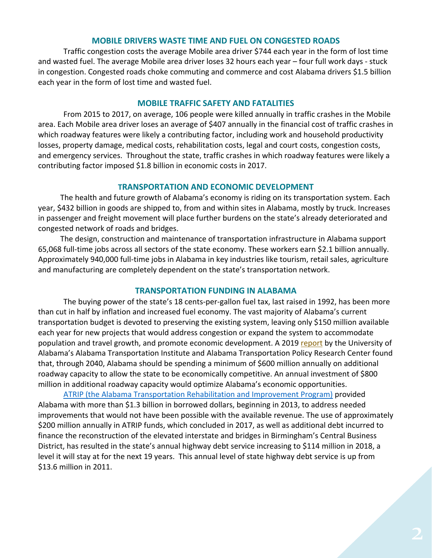#### **MOBILE DRIVERS WASTE TIME AND FUEL ON CONGESTED ROADS**

Traffic congestion costs the average Mobile area driver \$744 each year in the form of lost time and wasted fuel. The average Mobile area driver loses 32 hours each year – four full work days - stuck in congestion. Congested roads choke commuting and commerce and cost Alabama drivers \$1.5 billion each year in the form of lost time and wasted fuel.

#### **MOBILE TRAFFIC SAFETY AND FATALITIES**

From 2015 to 2017, on average, 106 people were killed annually in traffic crashes in the Mobile area. Each Mobile area driver loses an average of \$407 annually in the financial cost of traffic crashes in which roadway features were likely a contributing factor, including work and household productivity losses, property damage, medical costs, rehabilitation costs, legal and court costs, congestion costs, and emergency services. Throughout the state, traffic crashes in which roadway features were likely a contributing factor imposed \$1.8 billion in economic costs in 2017.

#### **TRANSPORTATION AND ECONOMIC DEVELOPMENT**

The health and future growth of Alabama's economy is riding on its transportation system. Each year, \$432 billion in goods are shipped to, from and within sites in Alabama, mostly by truck. Increases in passenger and freight movement will place further burdens on the state's already deteriorated and congested network of roads and bridges.

The design, construction and maintenance of transportation infrastructure in Alabama support 65,068 full-time jobs across all sectors of the state economy. These workers earn \$2.1 billion annually. Approximately 940,000 full-time jobs in Alabama in key industries like tourism, retail sales, agriculture and manufacturing are completely dependent on the state's transportation network.

#### **TRANSPORTATION FUNDING IN ALABAMA**

The buying power of the state's 18 cents-per-gallon fuel tax, last raised in 1992, has been more than cut in half by inflation and increased fuel economy. The vast majority of Alabama's current transportation budget is devoted to preserving the existing system, leaving only \$150 million available each year for new projects that would address congestion or expand the system to accommodate population and travel growth, and promote economic development. A 2019 [report](http://ovpred.ua.edu/files/2019/01/Alabama-2040-Report-ATPRC-2019-001.pdf) by the University of Alabama's Alabama Transportation Institute and Alabama Transportation Policy Research Center found that, through 2040, Alabama should be spending a minimum of \$600 million annually on additional roadway capacity to allow the state to be economically competitive. An annual investment of \$800 million in additional roadway capacity would optimize Alabama's economic opportunities.

[ATRIP \(the Alabama Transportation Rehabilitation and Improvement Program\)](https://www.dot.state.al.us/innoweb/pdf/ATRIP%20Frequently%20Asked%20Questions.pdf) provided Alabama with more than \$1.3 billion in borrowed dollars, beginning in 2013, to address needed improvements that would not have been possible with the available revenue. The use of approximately \$200 million annually in ATRIP funds, which concluded in 2017, as well as additional debt incurred to finance the reconstruction of the elevated interstate and bridges in Birmingham's Central Business District, has resulted in the state's annual highway debt service increasing to \$114 million in 2018, a level it will stay at for the next 19 years. This annual level of state highway debt service is up from \$13.6 million in 2011.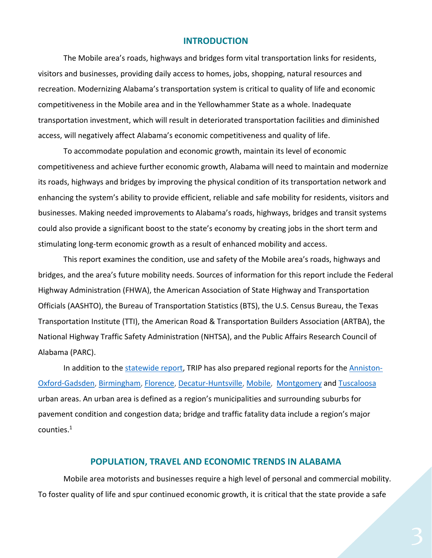#### **INTRODUCTION**

The Mobile area's roads, highways and bridges form vital transportation links for residents, visitors and businesses, providing daily access to homes, jobs, shopping, natural resources and recreation. Modernizing Alabama's transportation system is critical to quality of life and economic competitiveness in the Mobile area and in the Yellowhammer State as a whole. Inadequate transportation investment, which will result in deteriorated transportation facilities and diminished access, will negatively affect Alabama's economic competitiveness and quality of life.

To accommodate population and economic growth, maintain its level of economic competitiveness and achieve further economic growth, Alabama will need to maintain and modernize its roads, highways and bridges by improving the physical condition of its transportation network and enhancing the system's ability to provide efficient, reliable and safe mobility for residents, visitors and businesses. Making needed improvements to Alabama's roads, highways, bridges and transit systems could also provide a significant boost to the state's economy by creating jobs in the short term and stimulating long-term economic growth as a result of enhanced mobility and access.

This report examines the condition, use and safety of the Mobile area's roads, highways and bridges, and the area's future mobility needs. Sources of information for this report include the Federal Highway Administration (FHWA), the American Association of State Highway and Transportation Officials (AASHTO), the Bureau of Transportation Statistics (BTS), the U.S. Census Bureau, the Texas Transportation Institute (TTI), the American Road & Transportation Builders Association (ARTBA), the National Highway Traffic Safety Administration (NHTSA), and the Public Affairs Research Council of Alabama (PARC).

In addition to the [statewide report,](http://www.tripnet.org/docs/AL_Transportation_by_the_Numbers_TRIP_Report_February_2019.pdf) TRIP has also prepared regional reports for the [Anniston-](http://www.tripnet.org/docs/AL_Anniston-Oxford-Gadsden_Transportation_by_the_Numbers_TRIP_Report_February_2019.pdf)[Oxford-Gadsden,](http://www.tripnet.org/docs/AL_Anniston-Oxford-Gadsden_Transportation_by_the_Numbers_TRIP_Report_February_2019.pdf) [Birmingham,](http://www.tripnet.org/docs/AL_Birmingham_Transportation_by_the_Numbers_TRIP_Report_February_2019.pdf) [Florence,](http://www.tripnet.org/docs/AL_Florence_Transportation_by_the_Numbers_TRIP_Report_February_2019.pdf) [Decatur-Huntsville,](http://www.tripnet.org/docs/AL_Huntsville-Decatur_Transportation_by_the_Numbers_TRIP_Report_February_2019.pdf) [Mobile,](http://www.tripnet.org/docs/AL_Mobile_Transportation_by_the_Numbers_TRIP_Report_February_2019.pdf) [Montgomery](http://www.tripnet.org/docs/AL_Montgomery_Transportation_by_the_Numbers_TRIP_Report_February_2019.pdf) and [Tuscaloosa](http://www.tripnet.org/docs/AL_Tuscaloosa_Transportation_by_the_Numbers_TRIP_Report_February_2019.pdf) urban areas. An urban area is defined as a region's municipalities and surrounding suburbs for pavement condition and congestion data; bridge and traffic fatality data include a region's major counties.<sup>1</sup>

#### **POPULATION, TRAVEL AND ECONOMIC TRENDS IN ALABAMA**

Mobile area motorists and businesses require a high level of personal and commercial mobility. To foster quality of life and spur continued economic growth, it is critical that the state provide a safe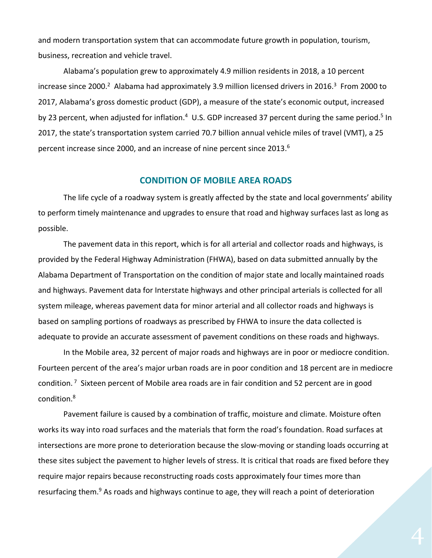and modern transportation system that can accommodate future growth in population, tourism, business, recreation and vehicle travel.

Alabama's population grew to approximately 4.9 million residents in 2018, a 10 percent increase since 2000.<sup>2</sup> Alabama had approximately 3.9 million licensed drivers in 2016.<sup>3</sup> From 2000 to 2017, Alabama's gross domestic product (GDP), a measure of the state's economic output, increased by 23 percent, when adjusted for inflation.<sup>4</sup> U.S. GDP increased 37 percent during the same period.<sup>5</sup> In 2017, the state's transportation system carried 70.7 billion annual vehicle miles of travel (VMT), a 25 percent increase since 2000, and an increase of nine percent since 2013.<sup>6</sup>

#### **CONDITION OF MOBILE AREA ROADS**

The life cycle of a roadway system is greatly affected by the state and local governments' ability to perform timely maintenance and upgrades to ensure that road and highway surfaces last as long as possible.

The pavement data in this report, which is for all arterial and collector roads and highways, is provided by the Federal Highway Administration (FHWA), based on data submitted annually by the Alabama Department of Transportation on the condition of major state and locally maintained roads and highways. Pavement data for Interstate highways and other principal arterials is collected for all system mileage, whereas pavement data for minor arterial and all collector roads and highways is based on sampling portions of roadways as prescribed by FHWA to insure the data collected is adequate to provide an accurate assessment of pavement conditions on these roads and highways.

In the Mobile area, 32 percent of major roads and highways are in poor or mediocre condition. Fourteen percent of the area's major urban roads are in poor condition and 18 percent are in mediocre condition.<sup>7</sup> Sixteen percent of Mobile area roads are in fair condition and 52 percent are in good condition.<sup>8</sup>

Pavement failure is caused by a combination of traffic, moisture and climate. Moisture often works its way into road surfaces and the materials that form the road's foundation. Road surfaces at intersections are more prone to deterioration because the slow-moving or standing loads occurring at these sites subject the pavement to higher levels of stress. It is critical that roads are fixed before they require major repairs because reconstructing roads costs approximately four times more than resurfacing them.<sup>9</sup> As roads and highways continue to age, they will reach a point of deterioration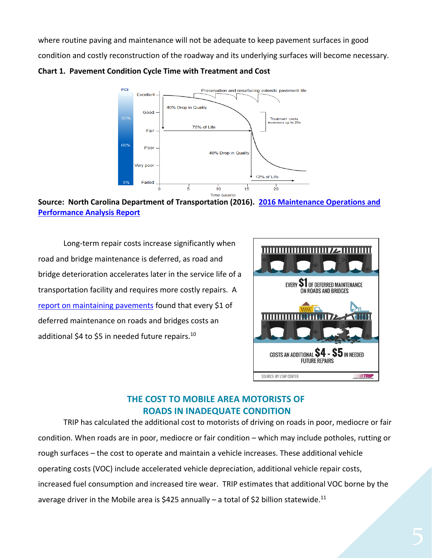where routine paving and maintenance will not be adequate to keep pavement surfaces in good condition and costly reconstruction of the roadway and its underlying surfaces will become necessary.

**Chart 1. Pavement Condition Cycle Time with Treatment and Cost**



**Source: North Carolina Department of Transportation (2016). [2016 Maintenance Operations and](https://connect.ncdot.gov/resources/Asset-Management/MSADocuments/2016%20Maintenance%20Operations%20and%20Performance%20Analysis%20Report%20(MOPAR).pdf)  [Performance Analysis Report](https://connect.ncdot.gov/resources/Asset-Management/MSADocuments/2016%20Maintenance%20Operations%20and%20Performance%20Analysis%20Report%20(MOPAR).pdf)**

Long-term repair costs increase significantly when road and bridge maintenance is deferred, as road and bridge deterioration accelerates later in the service life of a transportation facility and requires more costly repairs. A [report on maintaining pavements](https://www.yumpu.com/en/document/view/9021768/pavement-maintenance-cornell-local-roads-program-cornell-/4) found that every \$1 of deferred maintenance on roads and bridges costs an additional \$4 to \$5 in needed future repairs.<sup>10</sup>



## **THE COST TO MOBILE AREA MOTORISTS OF ROADS IN INADEQUATE CONDITION**

TRIP has calculated the additional cost to motorists of driving on roads in poor, mediocre or fair condition. When roads are in poor, mediocre or fair condition – which may include potholes, rutting or rough surfaces – the cost to operate and maintain a vehicle increases. These additional vehicle operating costs (VOC) include accelerated vehicle depreciation, additional vehicle repair costs, increased fuel consumption and increased tire wear. TRIP estimates that additional VOC borne by the average driver in the Mobile area is \$425 annually - a total of \$2 billion statewide.<sup>11</sup>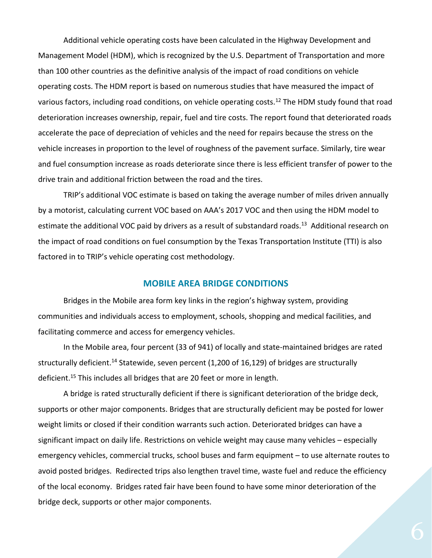Additional vehicle operating costs have been calculated in the Highway Development and Management Model (HDM), which is recognized by the U.S. Department of Transportation and more than 100 other countries as the definitive analysis of the impact of road conditions on vehicle operating costs. The HDM report is based on numerous studies that have measured the impact of various factors, including road conditions, on vehicle operating costs.<sup>12</sup> The HDM study found that road deterioration increases ownership, repair, fuel and tire costs. The report found that deteriorated roads accelerate the pace of depreciation of vehicles and the need for repairs because the stress on the vehicle increases in proportion to the level of roughness of the pavement surface. Similarly, tire wear and fuel consumption increase as roads deteriorate since there is less efficient transfer of power to the drive train and additional friction between the road and the tires.

TRIP's additional VOC estimate is based on taking the average number of miles driven annually by a motorist, calculating current VOC based on AAA's 2017 VOC and then using the HDM model to estimate the additional VOC paid by drivers as a result of substandard roads.<sup>13</sup> Additional research on the impact of road conditions on fuel consumption by the Texas Transportation Institute (TTI) is also factored in to TRIP's vehicle operating cost methodology.

#### **MOBILE AREA BRIDGE CONDITIONS**

Bridges in the Mobile area form key links in the region's highway system, providing communities and individuals access to employment, schools, shopping and medical facilities, and facilitating commerce and access for emergency vehicles.

In the Mobile area, four percent (33 of 941) of locally and state-maintained bridges are rated structurally deficient.<sup>14</sup> Statewide, seven percent (1,200 of 16,129) of bridges are structurally deficient. <sup>15</sup> This includes all bridges that are 20 feet or more in length.

A bridge is rated structurally deficient if there is significant deterioration of the bridge deck, supports or other major components. Bridges that are structurally deficient may be posted for lower weight limits or closed if their condition warrants such action. Deteriorated bridges can have a significant impact on daily life. Restrictions on vehicle weight may cause many vehicles – especially emergency vehicles, commercial trucks, school buses and farm equipment – to use alternate routes to avoid posted bridges. Redirected trips also lengthen travel time, waste fuel and reduce the efficiency of the local economy. Bridges rated fair have been found to have some minor deterioration of the bridge deck, supports or other major components.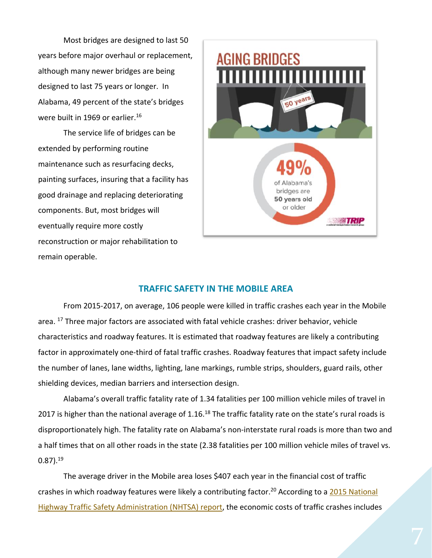Most bridges are designed to last 50 years before major overhaul or replacement, although many newer bridges are being designed to last 75 years or longer. In Alabama, 49 percent of the state's bridges were built in 1969 or earlier.<sup>16</sup>

The service life of bridges can be extended by performing routine maintenance such as resurfacing decks, painting surfaces, insuring that a facility has good drainage and replacing deteriorating components. But, most bridges will eventually require more costly reconstruction or major rehabilitation to remain operable.



#### **TRAFFIC SAFETY IN THE MOBILE AREA**

From 2015-2017, on average, 106 people were killed in traffic crashes each year in the Mobile area. <sup>17</sup> Three major factors are associated with fatal vehicle crashes: driver behavior, vehicle characteristics and roadway features. It is estimated that roadway features are likely a contributing factor in approximately one-third of fatal traffic crashes. Roadway features that impact safety include the number of lanes, lane widths, lighting, lane markings, rumble strips, shoulders, guard rails, other shielding devices, median barriers and intersection design.

Alabama's overall traffic fatality rate of 1.34 fatalities per 100 million vehicle miles of travel in 2017 is higher than the national average of 1.16.<sup>18</sup> The traffic fatality rate on the state's rural roads is disproportionately high. The fatality rate on Alabama's non-interstate rural roads is more than two and a half times that on all other roads in the state (2.38 fatalities per 100 million vehicle miles of travel vs.  $0.87$ ). $^{19}$ 

The average driver in the Mobile area loses \$407 each year in the financial cost of traffic crashes in which roadway features were likely a contributing factor.<sup>20</sup> According to a 2015 National [Highway Traffic Safety Administration \(NHTSA\) report,](https://crashstats.nhtsa.dot.gov/Api/Public/ViewPublication/812013) the economic costs of traffic crashes includes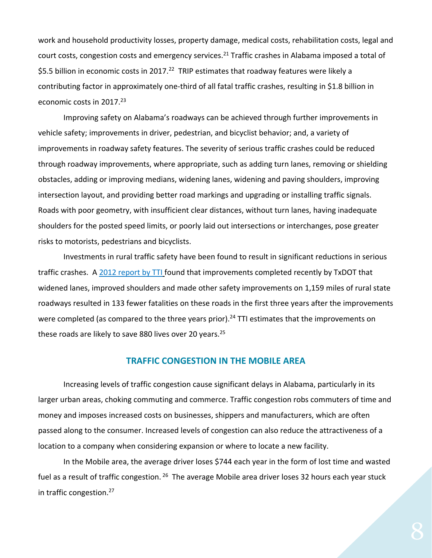work and household productivity losses, property damage, medical costs, rehabilitation costs, legal and court costs, congestion costs and emergency services.<sup>21</sup> Traffic crashes in Alabama imposed a total of \$5.5 billion in economic costs in 2017.<sup>22</sup> TRIP estimates that roadway features were likely a contributing factor in approximately one-third of all fatal traffic crashes, resulting in \$1.8 billion in economic costs in 2017.<sup>23</sup>

Improving safety on Alabama's roadways can be achieved through further improvements in vehicle safety; improvements in driver, pedestrian, and bicyclist behavior; and, a variety of improvements in roadway safety features. The severity of serious traffic crashes could be reduced through roadway improvements, where appropriate, such as adding turn lanes, removing or shielding obstacles, adding or improving medians, widening lanes, widening and paving shoulders, improving intersection layout, and providing better road markings and upgrading or installing traffic signals. Roads with poor geometry, with insufficient clear distances, without turn lanes, having inadequate shoulders for the posted speed limits, or poorly laid out intersections or interchanges, pose greater risks to motorists, pedestrians and bicyclists.

Investments in rural traffic safety have been found to result in significant reductions in serious traffic crashes. A [2012 report by TTI](http://tti.tamu.edu/2012/08/09/tti-study-analyzes-roadway-improvements/) found that improvements completed recently by TxDOT that widened lanes, improved shoulders and made other safety improvements on 1,159 miles of rural state roadways resulted in 133 fewer fatalities on these roads in the first three years after the improvements were completed (as compared to the three years prior).<sup>24</sup> TTI estimates that the improvements on these roads are likely to save 880 lives over 20 years.<sup>25</sup>

#### **TRAFFIC CONGESTION IN THE MOBILE AREA**

Increasing levels of traffic congestion cause significant delays in Alabama, particularly in its larger urban areas, choking commuting and commerce. Traffic congestion robs commuters of time and money and imposes increased costs on businesses, shippers and manufacturers, which are often passed along to the consumer. Increased levels of congestion can also reduce the attractiveness of a location to a company when considering expansion or where to locate a new facility.

In the Mobile area, the average driver loses \$744 each year in the form of lost time and wasted fuel as a result of traffic congestion. <sup>26</sup> The average Mobile area driver loses 32 hours each year stuck in traffic congestion.<sup>27</sup>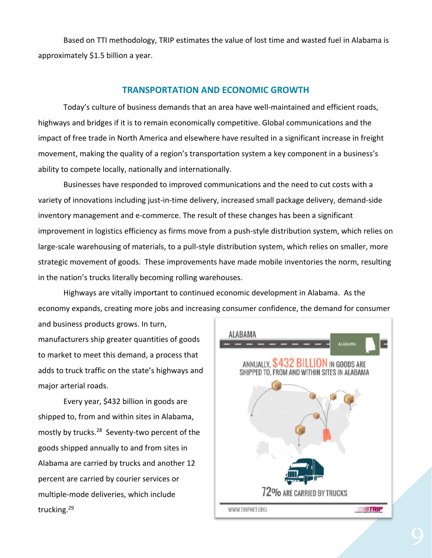Based on TTI methodology, TRIP estimates the value of lost time and wasted fuel in Alabama is approximately \$1.5 billion a year.

#### **TRANSPORTATION AND ECONOMIC GROWTH**

Today's culture of business demands that an area have well-maintained and efficient roads, highways and bridges if it is to remain economically competitive. Global communications and the impact of free trade in North America and elsewhere have resulted in a significant increase in freight movement, making the quality of a region's transportation system a key component in a business's ability to compete locally, nationally and internationally.

Businesses have responded to improved communications and the need to cut costs with a variety of innovations including just-in-time delivery, increased small package delivery, demand-side inventory management and e-commerce. The result of these changes has been a significant improvement in logistics efficiency as firms move from a push-style distribution system, which relies on large-scale warehousing of materials, to a pull-style distribution system, which relies on smaller, more strategic movement of goods. These improvements have made mobile inventories the norm, resulting in the nation's trucks literally becoming rolling warehouses.

Highways are vitally important to continued economic development in Alabama. As the economy expands, creating more jobs and increasing consumer confidence, the demand for consumer

and business products grows. In turn, manufacturers ship greater quantities of goods to market to meet this demand, a process that adds to truck traffic on the state's highways and major arterial roads.

Every year, \$432 billion in goods are shipped to, from and within sites in Alabama, mostly by trucks.<sup>28</sup> Seventy-two percent of the goods shipped annually to and from sites in Alabama are carried by trucks and another 12 percent are carried by courier services or multiple-mode deliveries, which include trucking.29

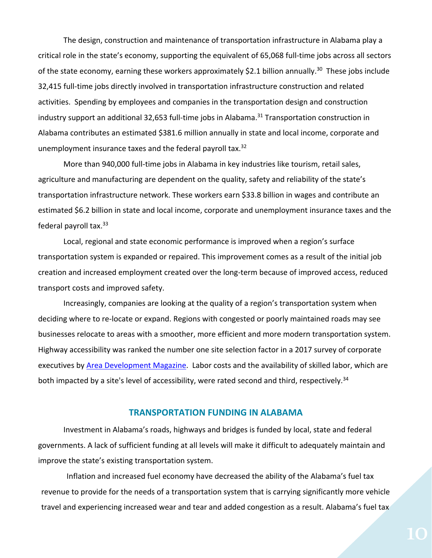The design, construction and maintenance of transportation infrastructure in Alabama play a critical role in the state's economy, supporting the equivalent of 65,068 full-time jobs across all sectors of the state economy, earning these workers approximately \$2.1 billion annually.<sup>30</sup> These jobs include 32,415 full-time jobs directly involved in transportation infrastructure construction and related activities. Spending by employees and companies in the transportation design and construction industry support an additional 32,653 full-time jobs in Alabama.<sup>31</sup> Transportation construction in Alabama contributes an estimated \$381.6 million annually in state and local income, corporate and unemployment insurance taxes and the federal payroll tax.<sup>32</sup>

More than 940,000 full-time jobs in Alabama in key industries like tourism, retail sales, agriculture and manufacturing are dependent on the quality, safety and reliability of the state's transportation infrastructure network. These workers earn \$33.8 billion in wages and contribute an estimated \$6.2 billion in state and local income, corporate and unemployment insurance taxes and the federal payroll tax.<sup>33</sup>

Local, regional and state economic performance is improved when a region's surface transportation system is expanded or repaired. This improvement comes as a result of the initial job creation and increased employment created over the long-term because of improved access, reduced transport costs and improved safety.

Increasingly, companies are looking at the quality of a region's transportation system when deciding where to re-locate or expand. Regions with congested or poorly maintained roads may see businesses relocate to areas with a smoother, more efficient and more modern transportation system. Highway accessibility was ranked the number one site selection factor in a 2017 survey of corporate executives by [Area Development Magazine.](http://www.areadevelopment.com/Corporate-Consultants-Survey-Results/Q1-2018/32nd-annual-corporate-survey-14th-annual-consultants-survey.shtml) Labor costs and the availability of skilled labor, which are both impacted by a site's level of accessibility, were rated second and third, respectively.<sup>34</sup>

#### **TRANSPORTATION FUNDING IN ALABAMA**

Investment in Alabama's roads, highways and bridges is funded by local, state and federal governments. A lack of sufficient funding at all levels will make it difficult to adequately maintain and improve the state's existing transportation system.

Inflation and increased fuel economy have decreased the ability of the Alabama's fuel tax revenue to provide for the needs of a transportation system that is carrying significantly more vehicle travel and experiencing increased wear and tear and added congestion as a result. Alabama's fuel tax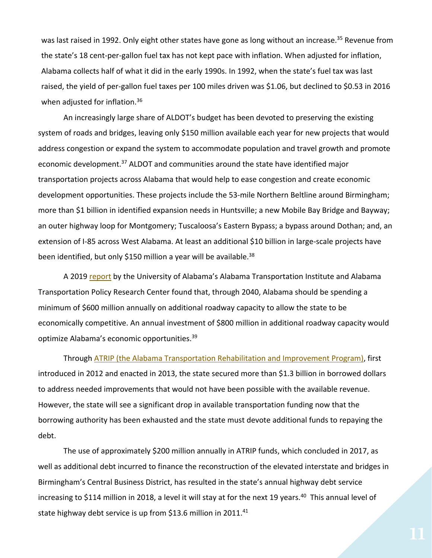was last raised in 1992. Only eight other states have gone as long without an increase.<sup>35</sup> Revenue from the state's 18 cent-per-gallon fuel tax has not kept pace with inflation. When adjusted for inflation, Alabama collects half of what it did in the early 1990s. In 1992, when the state's fuel tax was last raised, the yield of per-gallon fuel taxes per 100 miles driven was \$1.06, but declined to \$0.53 in 2016 when adjusted for inflation.<sup>36</sup>

An increasingly large share of ALDOT's budget has been devoted to preserving the existing system of roads and bridges, leaving only \$150 million available each year for new projects that would address congestion or expand the system to accommodate population and travel growth and promote economic development.<sup>37</sup> ALDOT and communities around the state have identified major transportation projects across Alabama that would help to ease congestion and create economic development opportunities. These projects include the 53-mile Northern Beltline around Birmingham; more than \$1 billion in identified expansion needs in Huntsville; a new Mobile Bay Bridge and Bayway; an outer highway loop for Montgomery; Tuscaloosa's Eastern Bypass; a bypass around Dothan; and, an extension of I-85 across West Alabama. At least an additional \$10 billion in large-scale projects have been identified, but only \$150 million a year will be available.<sup>38</sup>

A 2019 [report](http://ovpred.ua.edu/files/2019/01/Alabama-2040-Report-ATPRC-2019-001.pdf) by the University of Alabama's Alabama Transportation Institute and Alabama Transportation Policy Research Center found that, through 2040, Alabama should be spending a minimum of \$600 million annually on additional roadway capacity to allow the state to be economically competitive. An annual investment of \$800 million in additional roadway capacity would optimize Alabama's economic opportunities.<sup>39</sup>

Through [ATRIP \(the Alabama Transportation Rehabilitation and Improvement Program\),](https://www.dot.state.al.us/innoweb/pdf/ATRIP%20Frequently%20Asked%20Questions.pdf) first introduced in 2012 and enacted in 2013, the state secured more than \$1.3 billion in borrowed dollars to address needed improvements that would not have been possible with the available revenue. However, the state will see a significant drop in available transportation funding now that the borrowing authority has been exhausted and the state must devote additional funds to repaying the debt.

The use of approximately \$200 million annually in ATRIP funds, which concluded in 2017, as well as additional debt incurred to finance the reconstruction of the elevated interstate and bridges in Birmingham's Central Business District, has resulted in the state's annual highway debt service increasing to \$114 million in 2018, a level it will stay at for the next 19 years.<sup>40</sup> This annual level of state highway debt service is up from \$13.6 million in 2011.<sup>41</sup>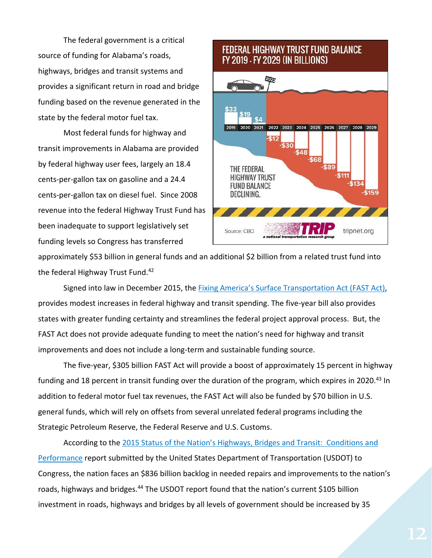The federal government is a critical source of funding for Alabama's roads, highways, bridges and transit systems and provides a significant return in road and bridge funding based on the revenue generated in the state by the federal motor fuel tax.

Most federal funds for highway and transit improvements in Alabama are provided by federal highway user fees, largely an 18.4 cents-per-gallon tax on gasoline and a 24.4 cents-per-gallon tax on diesel fuel. Since 2008 revenue into the federal Highway Trust Fund has been inadequate to support legislatively set funding levels so Congress has transferred

## **FEDERAL HIGHWAY TRUST FUND BALANCE** FY 2019 - FY 2029 (IN BILLIONS)



approximately \$53 billion in general funds and an additional \$2 billion from a related trust fund into the federal Highway Trust Fund.<sup>42</sup>

Signed into law in December 2015, the [Fixing America's Surface Transportation Act \(FAST Act\)](https://www.congress.gov/114/bills/hr22/BILLS-114hr22enr.pdf), provides modest increases in federal highway and transit spending. The five-year bill also provides states with greater funding certainty and streamlines the federal project approval process. But, the FAST Act does not provide adequate funding to meet the nation's need for highway and transit improvements and does not include a long-term and sustainable funding source.

The five-year, \$305 billion FAST Act will provide a boost of approximately 15 percent in highway funding and 18 percent in transit funding over the duration of the program, which expires in 2020.<sup>43</sup> In addition to federal motor fuel tax revenues, the FAST Act will also be funded by \$70 billion in U.S. general funds, which will rely on offsets from several unrelated federal programs including the Strategic Petroleum Reserve, the Federal Reserve and U.S. Customs.

According to the 2015 Status of the Nation's High[ways, Bridges and Transit: Conditions and](https://www.fhwa.dot.gov/policy/2015cpr/)  [Performance](https://www.fhwa.dot.gov/policy/2015cpr/) report submitted by the United States Department of Transportation (USDOT) to Congress, the nation faces an \$836 billion backlog in needed repairs and improvements to the nation's roads, highways and bridges.<sup>44</sup> The USDOT report found that the nation's current \$105 billion investment in roads, highways and bridges by all levels of government should be increased by 35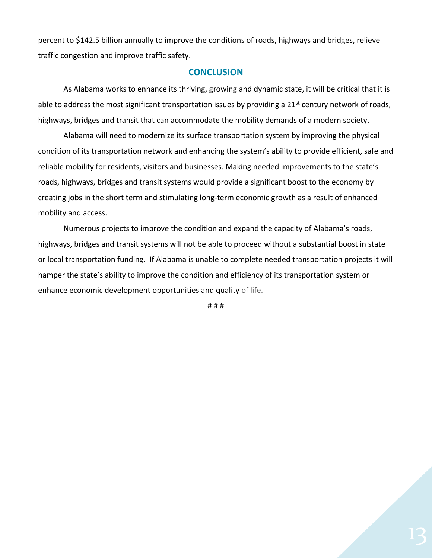percent to \$142.5 billion annually to improve the conditions of roads, highways and bridges, relieve traffic congestion and improve traffic safety.

#### **CONCLUSION**

As Alabama works to enhance its thriving, growing and dynamic state, it will be critical that it is able to address the most significant transportation issues by providing a 21<sup>st</sup> century network of roads, highways, bridges and transit that can accommodate the mobility demands of a modern society.

Alabama will need to modernize its surface transportation system by improving the physical condition of its transportation network and enhancing the system's ability to provide efficient, safe and reliable mobility for residents, visitors and businesses. Making needed improvements to the state's roads, highways, bridges and transit systems would provide a significant boost to the economy by creating jobs in the short term and stimulating long-term economic growth as a result of enhanced mobility and access.

Numerous projects to improve the condition and expand the capacity of Alabama's roads, highways, bridges and transit systems will not be able to proceed without a substantial boost in state or local transportation funding. If Alabama is unable to complete needed transportation projects it will hamper the state's ability to improve the condition and efficiency of its transportation system or enhance economic development opportunities and quality of life.

# # #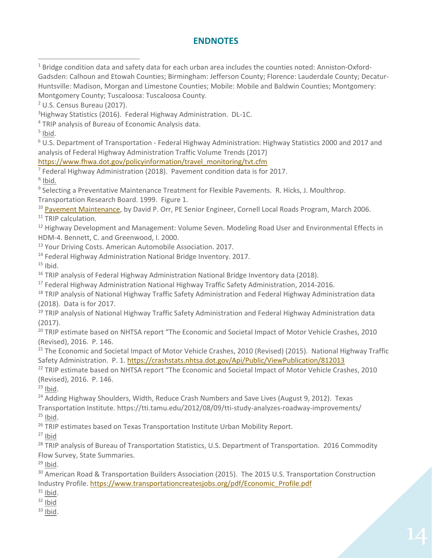### **ENDNOTES**

<sup>1</sup> Bridge condition data and safety data for each urban area includes the counties noted: Anniston-Oxford-Gadsden: Calhoun and Etowah Counties; Birmingham: Jefferson County; Florence: Lauderdale County; Decatur-Huntsville: Madison, Morgan and Limestone Counties; Mobile: Mobile and Baldwin Counties; Montgomery:

Montgomery County; Tuscaloosa: Tuscaloosa County.

<sup>2</sup> U.S. Census Bureau (2017).

 $\overline{a}$ 

<sup>3</sup>Highway Statistics (2016). Federal Highway Administration. DL-1C. <sup>4</sup> TRIP analysis of Bureau of Economic Analysis data.  $<sup>5</sup>$  lbid.</sup> <sup>6</sup> U.S. Department of Transportation - Federal Highway Administration: Highway Statistics 2000 and 2017 and analysis of Federal Highway Administration Traffic Volume Trends (2017) [https://www.fhwa.dot.gov/policyinformation/travel\\_monitoring/tvt.cfm](https://www.fhwa.dot.gov/policyinformation/travel_monitoring/tvt.cfm)  $^7$  Federal Highway Administration (2018). Pavement condition data is for 2017. <sup>8</sup> Ibid. <sup>9</sup> Selecting a Preventative Maintenance Treatment for Flexible Pavements. R. Hicks, J. Moulthrop. Transportation Research Board. 1999. Figure 1. <sup>10</sup> [Pavement Maintenance,](https://www.yumpu.com/en/document/view/9021768/pavement-maintenance-cornell-local-roads-program-cornell-/4) by David P. Orr, PE Senior Engineer, Cornell Local Roads Program, March 2006. <sup>11</sup> TRIP calculation. <sup>12</sup> Highway Development and Management: Volume Seven. Modeling Road User and Environmental Effects in HDM-4. Bennett, C. and Greenwood, I. 2000. <sup>13</sup> Your Driving Costs. American Automobile Association. 2017. <sup>14</sup> Federal Highway Administration National Bridge Inventory. 2017.  $15$  Ibid. <sup>16</sup> TRIP analysis of Federal Highway Administration National Bridge Inventory data (2018). <sup>17</sup> Federal Highway Administration National Highway Traffic Safety Administration, 2014-2016. <sup>18</sup> TRIP analysis of National Highway Traffic Safety Administration and Federal Highway Administration data (2018). Data is for 2017. <sup>19</sup> TRIP analysis of National Highway Traffic Safety Administration and Federal Highway Administration data (2017). <sup>20</sup> TRIP estimate based on NHTSA report "The Economic and Societal Impact of Motor Vehicle Crashes, 2010 (Revised), 2016. P. 146. <sup>21</sup> The Economic and Societal Impact of Motor Vehicle Crashes, 2010 (Revised) (2015). National Highway Traffic Safety Administration. P. 1. https://crashstats.nhtsa.dot.gov/Api/Public/ViewPublication/812013 <sup>22</sup> TRIP estimate based on NHTSA report "The Economic and Societal Impact of Motor Vehicle Crashes, 2010 (Revised), 2016. P. 146.  $23$  Ibid. <sup>24</sup> Adding Highway Shoulders, Width, Reduce Crash Numbers and Save Lives (August 9, 2012). Texas Transportation Institute. https://tti.tamu.edu/2012/08/09/tti-study-analyzes-roadway-improvements/  $25$  Ibid. <sup>26</sup> TRIP estimates based on Texas Transportation Institute Urban Mobility Report.  $27$  Ibid <sup>28</sup> TRIP analysis of Bureau of Transportation Statistics, U.S. Department of Transportation. 2016 Commodity Flow Survey, State Summaries.  $29$  Ibid. <sup>30</sup> American Road & Transportation Builders Association (2015). The 2015 U.S. Transportation Construction Industry Profile. [https://www.transportationcreatesjobs.org/pdf/Economic\\_Profile.pdf](https://www.transportationcreatesjobs.org/pdf/Economic_Profile.pdf)  $31$  Ibid.  $32$  lbid  $33$  lbid.